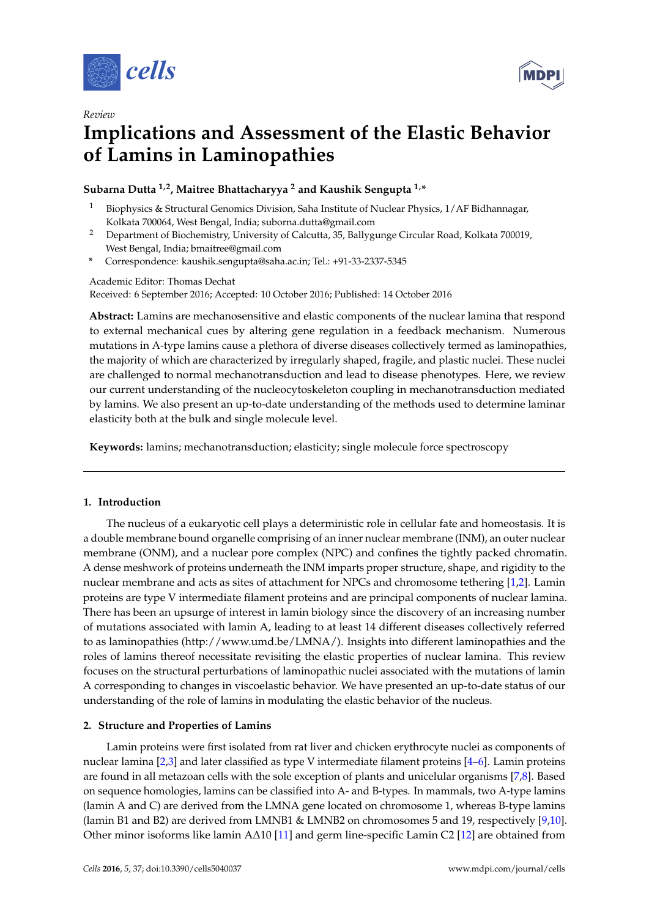

*Review*



# **Implications and Assessment of the Elastic Behavior of Lamins in Laminopathies**

**Subarna Dutta 1,2, Maitree Bhattacharyya <sup>2</sup> and Kaushik Sengupta 1,\***

- <sup>1</sup> Biophysics & Structural Genomics Division, Saha Institute of Nuclear Physics, 1/AF Bidhannagar, Kolkata 700064, West Bengal, India; suborna.dutta@gmail.com
- <sup>2</sup> Department of Biochemistry, University of Calcutta, 35, Ballygunge Circular Road, Kolkata 700019, West Bengal, India; bmaitree@gmail.com
- **\*** Correspondence: kaushik.sengupta@saha.ac.in; Tel.: +91-33-2337-5345

Academic Editor: Thomas Dechat

Received: 6 September 2016; Accepted: 10 October 2016; Published: 14 October 2016

**Abstract:** Lamins are mechanosensitive and elastic components of the nuclear lamina that respond to external mechanical cues by altering gene regulation in a feedback mechanism. Numerous mutations in A-type lamins cause a plethora of diverse diseases collectively termed as laminopathies, the majority of which are characterized by irregularly shaped, fragile, and plastic nuclei. These nuclei are challenged to normal mechanotransduction and lead to disease phenotypes. Here, we review our current understanding of the nucleocytoskeleton coupling in mechanotransduction mediated by lamins. We also present an up-to-date understanding of the methods used to determine laminar elasticity both at the bulk and single molecule level.

**Keywords:** lamins; mechanotransduction; elasticity; single molecule force spectroscopy

### **1. Introduction**

The nucleus of a eukaryotic cell plays a deterministic role in cellular fate and homeostasis. It is a double membrane bound organelle comprising of an inner nuclear membrane (INM), an outer nuclear membrane (ONM), and a nuclear pore complex (NPC) and confines the tightly packed chromatin. A dense meshwork of proteins underneath the INM imparts proper structure, shape, and rigidity to the nuclear membrane and acts as sites of attachment for NPCs and chromosome tethering [\[1](#page-4-0)[,2\]](#page-4-1). Lamin proteins are type V intermediate filament proteins and are principal components of nuclear lamina. There has been an upsurge of interest in lamin biology since the discovery of an increasing number of mutations associated with lamin A, leading to at least 14 different diseases collectively referred to as laminopathies [\(http://www.umd.be/LMNA/\)](http://www.umd.be/LMNA/). Insights into different laminopathies and the roles of lamins thereof necessitate revisiting the elastic properties of nuclear lamina. This review focuses on the structural perturbations of laminopathic nuclei associated with the mutations of lamin A corresponding to changes in viscoelastic behavior. We have presented an up-to-date status of our understanding of the role of lamins in modulating the elastic behavior of the nucleus.

### **2. Structure and Properties of Lamins**

Lamin proteins were first isolated from rat liver and chicken erythrocyte nuclei as components of nuclear lamina [\[2](#page-4-1)[,3\]](#page-4-2) and later classified as type V intermediate filament proteins [\[4–](#page-4-3)[6\]](#page-4-4). Lamin proteins are found in all metazoan cells with the sole exception of plants and unicelular organisms [\[7,](#page-5-0)[8\]](#page-5-1). Based on sequence homologies, lamins can be classified into A- and B-types. In mammals, two A-type lamins (lamin A and C) are derived from the LMNA gene located on chromosome 1, whereas B-type lamins (lamin B1 and B2) are derived from LMNB1 & LMNB2 on chromosomes 5 and 19, respectively [\[9,](#page-5-2)[10\]](#page-5-3). Other minor isoforms like lamin A∆10 [\[11\]](#page-5-4) and germ line-specific Lamin C2 [\[12\]](#page-5-5) are obtained from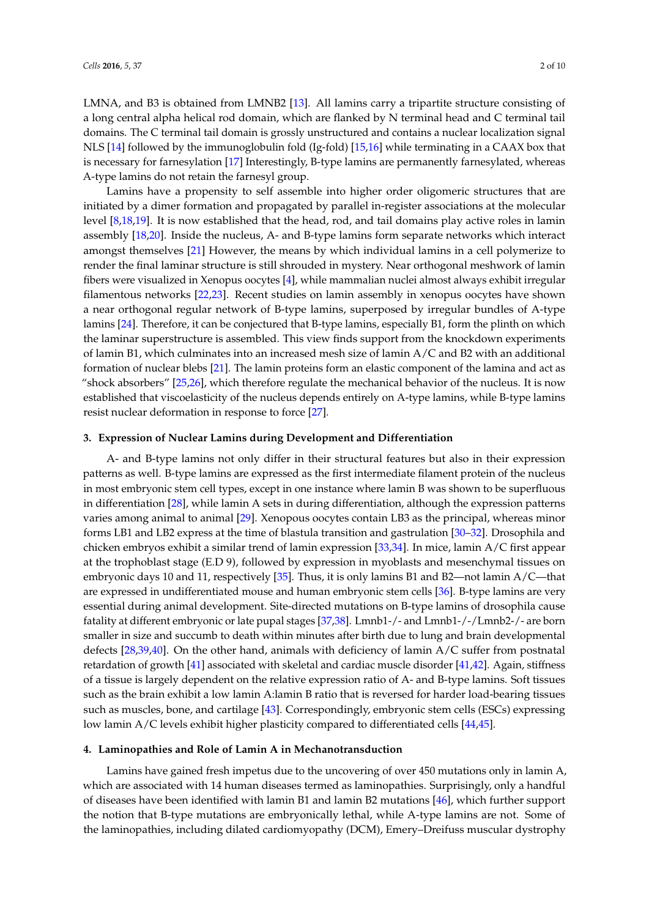LMNA, and B3 is obtained from LMNB2 [\[13\]](#page-5-6). All lamins carry a tripartite structure consisting of a long central alpha helical rod domain, which are flanked by N terminal head and C terminal tail domains. The C terminal tail domain is grossly unstructured and contains a nuclear localization signal NLS [\[14\]](#page-5-7) followed by the immunoglobulin fold (Ig-fold) [\[15](#page-5-8)[,16\]](#page-5-9) while terminating in a CAAX box that is necessary for farnesylation [\[17\]](#page-5-10) Interestingly, B-type lamins are permanently farnesylated, whereas A-type lamins do not retain the farnesyl group.

Lamins have a propensity to self assemble into higher order oligomeric structures that are initiated by a dimer formation and propagated by parallel in-register associations at the molecular level [\[8,](#page-5-1)[18,](#page-5-11)[19\]](#page-5-12). It is now established that the head, rod, and tail domains play active roles in lamin assembly [\[18](#page-5-11)[,20\]](#page-5-13). Inside the nucleus, A- and B-type lamins form separate networks which interact amongst themselves [\[21\]](#page-5-14) However, the means by which individual lamins in a cell polymerize to render the final laminar structure is still shrouded in mystery. Near orthogonal meshwork of lamin fibers were visualized in Xenopus oocytes [\[4\]](#page-4-3), while mammalian nuclei almost always exhibit irregular filamentous networks [\[22,](#page-5-15)[23\]](#page-5-16). Recent studies on lamin assembly in xenopus oocytes have shown a near orthogonal regular network of B-type lamins, superposed by irregular bundles of A-type lamins [\[24\]](#page-5-17). Therefore, it can be conjectured that B-type lamins, especially B1, form the plinth on which the laminar superstructure is assembled. This view finds support from the knockdown experiments of lamin B1, which culminates into an increased mesh size of lamin A/C and B2 with an additional formation of nuclear blebs [\[21\]](#page-5-14). The lamin proteins form an elastic component of the lamina and act as "shock absorbers" [\[25](#page-5-18)[,26\]](#page-5-19), which therefore regulate the mechanical behavior of the nucleus. It is now established that viscoelasticity of the nucleus depends entirely on A-type lamins, while B-type lamins resist nuclear deformation in response to force [\[27\]](#page-5-20).

#### **3. Expression of Nuclear Lamins during Development and Differentiation**

A- and B-type lamins not only differ in their structural features but also in their expression patterns as well. B-type lamins are expressed as the first intermediate filament protein of the nucleus in most embryonic stem cell types, except in one instance where lamin B was shown to be superfluous in differentiation [\[28\]](#page-5-21), while lamin A sets in during differentiation, although the expression patterns varies among animal to animal [\[29\]](#page-6-0). Xenopous oocytes contain LB3 as the principal, whereas minor forms LB1 and LB2 express at the time of blastula transition and gastrulation [\[30](#page-6-1)[–32\]](#page-6-2). Drosophila and chicken embryos exhibit a similar trend of lamin expression [\[33,](#page-6-3)[34\]](#page-6-4). In mice, lamin  $A/C$  first appear at the trophoblast stage (E.D 9), followed by expression in myoblasts and mesenchymal tissues on embryonic days 10 and 11, respectively [\[35\]](#page-6-5). Thus, it is only lamins B1 and B2—not lamin A/C—that are expressed in undifferentiated mouse and human embryonic stem cells [\[36\]](#page-6-6). B-type lamins are very essential during animal development. Site-directed mutations on B-type lamins of drosophila cause fatality at different embryonic or late pupal stages [\[37,](#page-6-7)[38\]](#page-6-8). Lmnb1-/- and Lmnb1-/-/Lmnb2-/- are born smaller in size and succumb to death within minutes after birth due to lung and brain developmental defects [\[28](#page-5-21)[,39](#page-6-9)[,40\]](#page-6-10). On the other hand, animals with deficiency of lamin A/C suffer from postnatal retardation of growth [\[41\]](#page-6-11) associated with skeletal and cardiac muscle disorder [\[41,](#page-6-11)[42\]](#page-6-12). Again, stiffness of a tissue is largely dependent on the relative expression ratio of A- and B-type lamins. Soft tissues such as the brain exhibit a low lamin A:lamin B ratio that is reversed for harder load-bearing tissues such as muscles, bone, and cartilage [\[43\]](#page-6-13). Correspondingly, embryonic stem cells (ESCs) expressing low lamin A/C levels exhibit higher plasticity compared to differentiated cells [\[44,](#page-6-14)[45\]](#page-6-15).

#### **4. Laminopathies and Role of Lamin A in Mechanotransduction**

Lamins have gained fresh impetus due to the uncovering of over 450 mutations only in lamin A, which are associated with 14 human diseases termed as laminopathies. Surprisingly, only a handful of diseases have been identified with lamin B1 and lamin B2 mutations [\[46\]](#page-6-16), which further support the notion that B-type mutations are embryonically lethal, while A-type lamins are not. Some of the laminopathies, including dilated cardiomyopathy (DCM), Emery–Dreifuss muscular dystrophy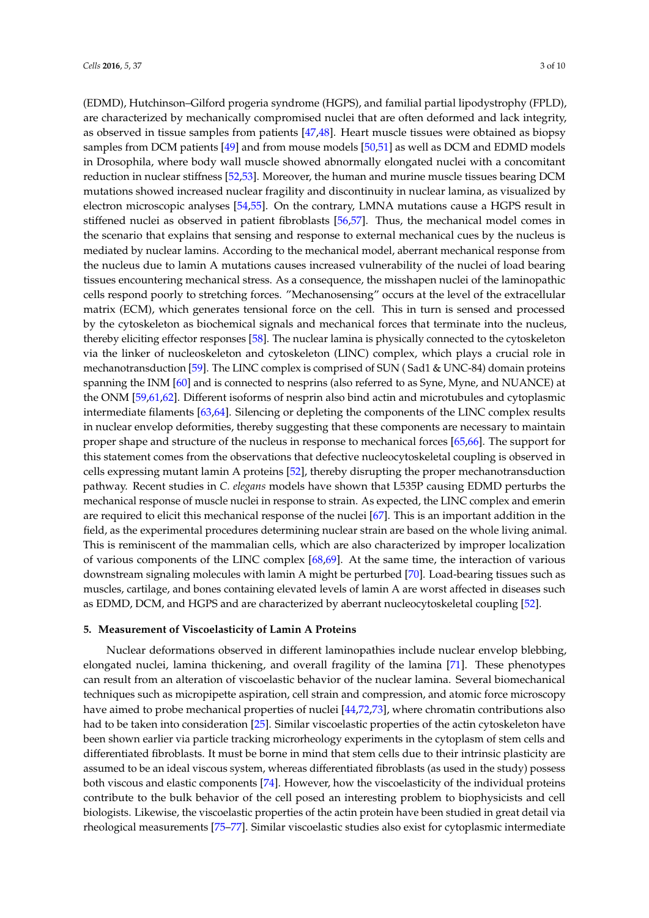(EDMD), Hutchinson–Gilford progeria syndrome (HGPS), and familial partial lipodystrophy (FPLD), are characterized by mechanically compromised nuclei that are often deformed and lack integrity, as observed in tissue samples from patients [\[47](#page-6-17)[,48\]](#page-6-18). Heart muscle tissues were obtained as biopsy samples from DCM patients [\[49\]](#page-7-0) and from mouse models [\[50](#page-7-1)[,51\]](#page-7-2) as well as DCM and EDMD models in Drosophila, where body wall muscle showed abnormally elongated nuclei with a concomitant reduction in nuclear stiffness [\[52,](#page-7-3)[53\]](#page-7-4). Moreover, the human and murine muscle tissues bearing DCM mutations showed increased nuclear fragility and discontinuity in nuclear lamina, as visualized by electron microscopic analyses [\[54,](#page-7-5)[55\]](#page-7-6). On the contrary, LMNA mutations cause a HGPS result in stiffened nuclei as observed in patient fibroblasts [\[56,](#page-7-7)[57\]](#page-7-8). Thus, the mechanical model comes in the scenario that explains that sensing and response to external mechanical cues by the nucleus is mediated by nuclear lamins. According to the mechanical model, aberrant mechanical response from the nucleus due to lamin A mutations causes increased vulnerability of the nuclei of load bearing tissues encountering mechanical stress. As a consequence, the misshapen nuclei of the laminopathic cells respond poorly to stretching forces. "Mechanosensing" occurs at the level of the extracellular matrix (ECM), which generates tensional force on the cell. This in turn is sensed and processed by the cytoskeleton as biochemical signals and mechanical forces that terminate into the nucleus, thereby eliciting effector responses [\[58\]](#page-7-9). The nuclear lamina is physically connected to the cytoskeleton via the linker of nucleoskeleton and cytoskeleton (LINC) complex, which plays a crucial role in mechanotransduction [\[59\]](#page-7-10). The LINC complex is comprised of SUN ( Sad1 & UNC-84) domain proteins spanning the INM [\[60\]](#page-7-11) and is connected to nesprins (also referred to as Syne, Myne, and NUANCE) at the ONM [\[59](#page-7-10)[,61](#page-7-12)[,62\]](#page-7-13). Different isoforms of nesprin also bind actin and microtubules and cytoplasmic intermediate filaments [\[63,](#page-7-14)[64\]](#page-7-15). Silencing or depleting the components of the LINC complex results in nuclear envelop deformities, thereby suggesting that these components are necessary to maintain proper shape and structure of the nucleus in response to mechanical forces [\[65](#page-7-16)[,66\]](#page-7-17). The support for this statement comes from the observations that defective nucleocytoskeletal coupling is observed in cells expressing mutant lamin A proteins [\[52\]](#page-7-3), thereby disrupting the proper mechanotransduction pathway. Recent studies in *C. elegans* models have shown that L535P causing EDMD perturbs the mechanical response of muscle nuclei in response to strain. As expected, the LINC complex and emerin are required to elicit this mechanical response of the nuclei [\[67\]](#page-8-0). This is an important addition in the field, as the experimental procedures determining nuclear strain are based on the whole living animal. This is reminiscent of the mammalian cells, which are also characterized by improper localization of various components of the LINC complex [\[68](#page-8-1)[,69\]](#page-8-2). At the same time, the interaction of various downstream signaling molecules with lamin A might be perturbed [\[70\]](#page-8-3). Load-bearing tissues such as muscles, cartilage, and bones containing elevated levels of lamin A are worst affected in diseases such as EDMD, DCM, and HGPS and are characterized by aberrant nucleocytoskeletal coupling [\[52\]](#page-7-3).

#### **5. Measurement of Viscoelasticity of Lamin A Proteins**

Nuclear deformations observed in different laminopathies include nuclear envelop blebbing, elongated nuclei, lamina thickening, and overall fragility of the lamina [\[71\]](#page-8-4). These phenotypes can result from an alteration of viscoelastic behavior of the nuclear lamina. Several biomechanical techniques such as micropipette aspiration, cell strain and compression, and atomic force microscopy have aimed to probe mechanical properties of nuclei [\[44](#page-6-14)[,72,](#page-8-5)[73\]](#page-8-6), where chromatin contributions also had to be taken into consideration [\[25\]](#page-5-18). Similar viscoelastic properties of the actin cytoskeleton have been shown earlier via particle tracking microrheology experiments in the cytoplasm of stem cells and differentiated fibroblasts. It must be borne in mind that stem cells due to their intrinsic plasticity are assumed to be an ideal viscous system, whereas differentiated fibroblasts (as used in the study) possess both viscous and elastic components [\[74\]](#page-8-7). However, how the viscoelasticity of the individual proteins contribute to the bulk behavior of the cell posed an interesting problem to biophysicists and cell biologists. Likewise, the viscoelastic properties of the actin protein have been studied in great detail via rheological measurements [\[75–](#page-8-8)[77\]](#page-8-9). Similar viscoelastic studies also exist for cytoplasmic intermediate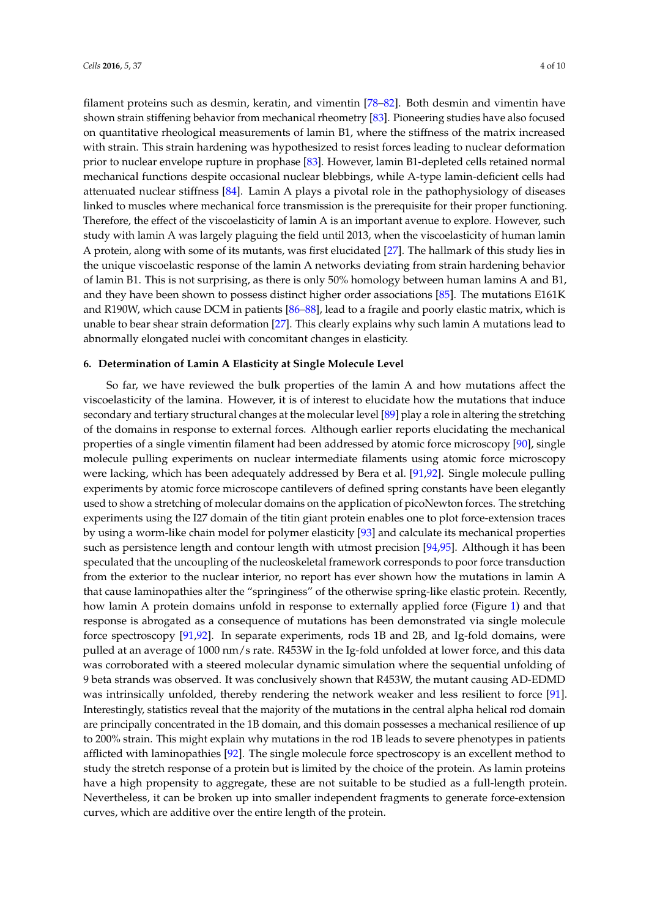filament proteins such as desmin, keratin, and vimentin [\[78](#page-8-10)[–82\]](#page-8-11). Both desmin and vimentin have shown strain stiffening behavior from mechanical rheometry [\[83\]](#page-8-12). Pioneering studies have also focused on quantitative rheological measurements of lamin B1, where the stiffness of the matrix increased with strain. This strain hardening was hypothesized to resist forces leading to nuclear deformation prior to nuclear envelope rupture in prophase [\[83\]](#page-8-12). However, lamin B1-depleted cells retained normal mechanical functions despite occasional nuclear blebbings, while A-type lamin-deficient cells had attenuated nuclear stiffness [\[84\]](#page-8-13). Lamin A plays a pivotal role in the pathophysiology of diseases linked to muscles where mechanical force transmission is the prerequisite for their proper functioning. Therefore, the effect of the viscoelasticity of lamin A is an important avenue to explore. However, such study with lamin A was largely plaguing the field until 2013, when the viscoelasticity of human lamin A protein, along with some of its mutants, was first elucidated [\[27\]](#page-5-20). The hallmark of this study lies in the unique viscoelastic response of the lamin A networks deviating from strain hardening behavior of lamin B1. This is not surprising, as there is only 50% homology between human lamins A and B1, and they have been shown to possess distinct higher order associations [\[85\]](#page-8-14). The mutations E161K and R190W, which cause DCM in patients [\[86](#page-8-15)[–88\]](#page-8-16), lead to a fragile and poorly elastic matrix, which is unable to bear shear strain deformation [\[27\]](#page-5-20). This clearly explains why such lamin A mutations lead to abnormally elongated nuclei with concomitant changes in elasticity.

#### **6. Determination of Lamin A Elasticity at Single Molecule Level**

So far, we have reviewed the bulk properties of the lamin A and how mutations affect the viscoelasticity of the lamina. However, it is of interest to elucidate how the mutations that induce secondary and tertiary structural changes at the molecular level [\[89\]](#page-9-0) play a role in altering the stretching of the domains in response to external forces. Although earlier reports elucidating the mechanical properties of a single vimentin filament had been addressed by atomic force microscopy [\[90\]](#page-9-1), single molecule pulling experiments on nuclear intermediate filaments using atomic force microscopy were lacking, which has been adequately addressed by Bera et al. [\[91,](#page-9-2)[92\]](#page-9-3). Single molecule pulling experiments by atomic force microscope cantilevers of defined spring constants have been elegantly used to show a stretching of molecular domains on the application of picoNewton forces. The stretching experiments using the I27 domain of the titin giant protein enables one to plot force-extension traces by using a worm-like chain model for polymer elasticity [\[93\]](#page-9-4) and calculate its mechanical properties such as persistence length and contour length with utmost precision [\[94](#page-9-5)[,95\]](#page-9-6). Although it has been speculated that the uncoupling of the nucleoskeletal framework corresponds to poor force transduction from the exterior to the nuclear interior, no report has ever shown how the mutations in lamin A that cause laminopathies alter the "springiness" of the otherwise spring-like elastic protein. Recently, how lamin A protein domains unfold in response to externally applied force (Figure [1\)](#page-4-5) and that response is abrogated as a consequence of mutations has been demonstrated via single molecule force spectroscopy [\[91,](#page-9-2)[92\]](#page-9-3). In separate experiments, rods 1B and 2B, and Ig-fold domains, were pulled at an average of 1000 nm/s rate. R453W in the Ig-fold unfolded at lower force, and this data was corroborated with a steered molecular dynamic simulation where the sequential unfolding of 9 beta strands was observed. It was conclusively shown that R453W, the mutant causing AD-EDMD was intrinsically unfolded, thereby rendering the network weaker and less resilient to force [\[91\]](#page-9-2). Interestingly, statistics reveal that the majority of the mutations in the central alpha helical rod domain are principally concentrated in the 1B domain, and this domain possesses a mechanical resilience of up to 200% strain. This might explain why mutations in the rod 1B leads to severe phenotypes in patients afflicted with laminopathies [\[92\]](#page-9-3). The single molecule force spectroscopy is an excellent method to study the stretch response of a protein but is limited by the choice of the protein. As lamin proteins have a high propensity to aggregate, these are not suitable to be studied as a full-length protein. Nevertheless, it can be broken up into smaller independent fragments to generate force-extension curves, which are additive over the entire length of the protein.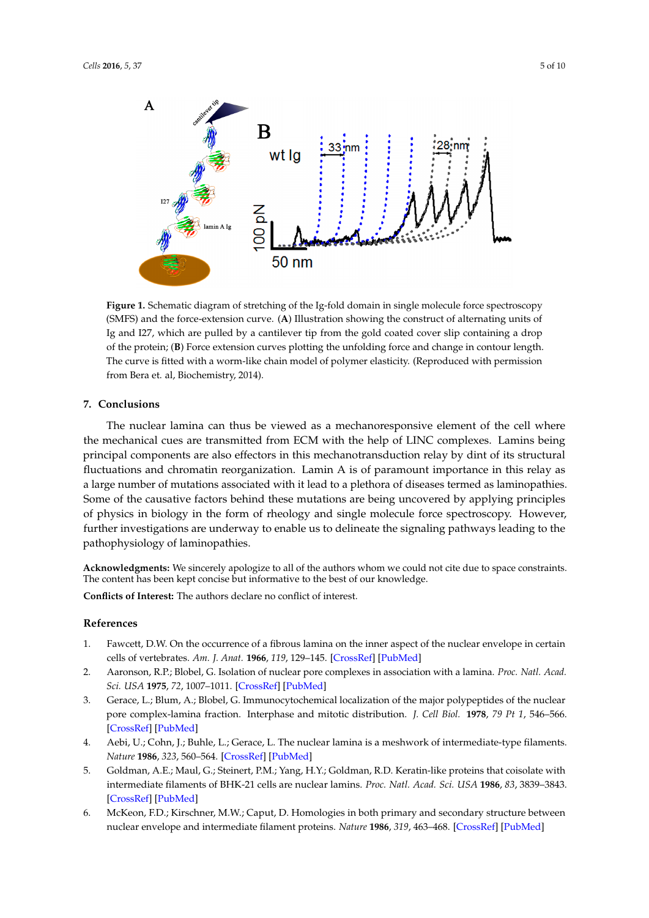<span id="page-4-5"></span>

**Figure 1.** Schematic diagram of stretching of the Ig-fold domain in single molecule force **Figure 1.** Schematic diagram of stretching of the Ig-fold domain in single molecule force spectroscopy (SMFS) and the force-extension curve. (A) Illustration showing the construct of alternating units of Ig and I27, which are pulled by a cantilever tip from the gold coated cover slip containing a drop of the protein; (B) Force extension curves plotting the unfolding force and change in contour length. The curve is fitted with a worm-like chain model of polymer elasticity. (Reproduced with permission from Bera et. al, Biochemistry, 2014).

## **7. Conclusions 7. Conclusions**

The nuclear lamina can thus be viewed as a mechanoresponsive element of the cell where the mechanical cues are transmitted from ECM with the help of LINC complexes. Lamins being principal components are also effectors in this mechanotransduction relay by dint of its structural principal components are also effectors in this mechanotransduction relay by dint of its structural fluctuations and chromatin reorganization. Lamin A is of paramount importance in this relay as large number of mutations associated with it lead to a plethora of diseases termed as laminopathies. a large number of mutations associated with it lead to a plethora of diseases termed as laminopathies. Some of the causative factors behind these mutations are being uncovered by applying principles of physics in biology in the form of rheology and single molecule force spectroscopy. However, investigations are underway to enable us to delineate the signaling pathways leading to the further investigations are underway to enable us to delineate the signaling pathways leading to the pathophysiology of laminopathies. pathophysiology of laminopathies.

**Acknowledgments:** We sincerely apologize to all of the authors whom we could not cite due to space **Acknowledgments:** We sincerely apologize to all of the authors whom we could not cite due to space constraints. The content has been kept concise but informative to the best of our knowledge.

**Conflicts of Interest:** The authors declare no conflict of interest. **Conflicts of Interest:** The authors declare no conflict of interest.

## **References References**

- <span id="page-4-0"></span>1. Fawcett, D.W. On the occurrence of a fibrous lamina on the inner aspect of the nuclear envelope in certain 1. Fawcett, D.W. On the occurrence of a fibrous lamina on the inner aspect of the nuclear envelope in certain cells of vertebrates. *Am. J. Anat.* **1966**, *119*, 129–145. cells of vertebrates. *Am. J. Anat.* **1966**, *119*, 129–145. [\[CrossRef\]](http://dx.doi.org/10.1002/aja.1001190108) [\[PubMed\]](http://www.ncbi.nlm.nih.gov/pubmed/6007824)
- <span id="page-4-1"></span>2. Aaronson, R.P.; Blobel, G. Isolation of nuclear pore complexes in association with a lamina. *Proc. Natl. Acad. Acad. Sci. USA* **1975**, *72*, 1007–1011. *Sci. USA* **1975**, *72*, 1007–1011. [\[CrossRef\]](http://dx.doi.org/10.1073/pnas.72.3.1007) [\[PubMed\]](http://www.ncbi.nlm.nih.gov/pubmed/1055359)
- <span id="page-4-2"></span>3. Gerace, L.; Blum, A.; Blobel, G. Immunocytochemical localization of the major polypeptides of the nuclear 3. Gerace, L.; Blum, A.; Blobel, G. Immunocytochemical localization of the major polypeptides of the nuclear pore complex-lamina fraction. Interphase and mitotic distribution. *J. Cell Biol.* **1978**, 79 Pt 1, 546–566.  $[CrossRef]$  [\[PubMed\]](http://www.ncbi.nlm.nih.gov/pubmed/102651)  $\blacksquare$
- <span id="page-4-3"></span>*Nature* **1986**, *323*, 560–564. 4. Aebi, U.; Cohn, J.; Buhle, L.; Gerace, L. The nuclear lamina is a meshwork of intermediate-type filaments. *Nature* **1986**, 323, 560–564. [CrossRef] [PubMed]
- 5. Goldman, A.E.; Maul, G.; Steinert, P.M.; Yang, H.Y.; Goldman, R.D. Keratin-like proteins that coisolate with 3839–3843. intermediate filaments of BHK-21 cells are nuclear lamins. *Proc. Natl. Acad. Sci. USA* **1986**, *83*, 3839–3843. [\[CrossRef\]](http://dx.doi.org/10.1073/pnas.83.11.3839) [\[PubMed\]](http://www.ncbi.nlm.nih.gov/pubmed/2424013)
- <span id="page-4-4"></span>6. McKeon, F.D.; Kirschner, M.W.; Caput, D. Homologies in both primary and secondary structure between nuclear envelope and intermediate filament proteins. Nature 1986, 319, 463-468. [\[CrossRef\]](http://dx.doi.org/10.1038/319463a0) [\[PubMed\]](http://www.ncbi.nlm.nih.gov/pubmed/3453101)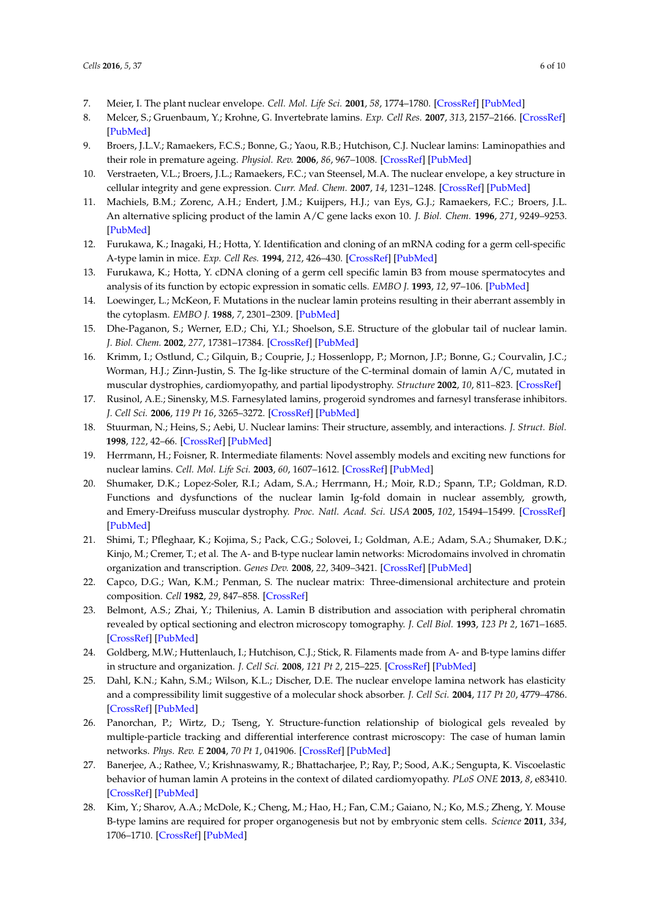- <span id="page-5-0"></span>7. Meier, I. The plant nuclear envelope. *Cell. Mol. Life Sci.* **2001**, *58*, 1774–1780. [\[CrossRef\]](http://dx.doi.org/10.1007/PL00000817) [\[PubMed\]](http://www.ncbi.nlm.nih.gov/pubmed/11766878)
- <span id="page-5-1"></span>8. Melcer, S.; Gruenbaum, Y.; Krohne, G. Invertebrate lamins. *Exp. Cell Res.* **2007**, *313*, 2157–2166. [\[CrossRef\]](http://dx.doi.org/10.1016/j.yexcr.2007.03.004) [\[PubMed\]](http://www.ncbi.nlm.nih.gov/pubmed/17451683)
- <span id="page-5-2"></span>9. Broers, J.L.V.; Ramaekers, F.C.S.; Bonne, G.; Yaou, R.B.; Hutchison, C.J. Nuclear lamins: Laminopathies and their role in premature ageing. *Physiol. Rev.* **2006**, *86*, 967–1008. [\[CrossRef\]](http://dx.doi.org/10.1152/physrev.00047.2005) [\[PubMed\]](http://www.ncbi.nlm.nih.gov/pubmed/16816143)
- <span id="page-5-3"></span>10. Verstraeten, V.L.; Broers, J.L.; Ramaekers, F.C.; van Steensel, M.A. The nuclear envelope, a key structure in cellular integrity and gene expression. *Curr. Med. Chem.* **2007**, *14*, 1231–1248. [\[CrossRef\]](http://dx.doi.org/10.2174/092986707780598032) [\[PubMed\]](http://www.ncbi.nlm.nih.gov/pubmed/17504143)
- <span id="page-5-4"></span>11. Machiels, B.M.; Zorenc, A.H.; Endert, J.M.; Kuijpers, H.J.; van Eys, G.J.; Ramaekers, F.C.; Broers, J.L. An alternative splicing product of the lamin A/C gene lacks exon 10. *J. Biol. Chem.* **1996**, *271*, 9249–9253. [\[PubMed\]](http://www.ncbi.nlm.nih.gov/pubmed/8621584)
- <span id="page-5-5"></span>12. Furukawa, K.; Inagaki, H.; Hotta, Y. Identification and cloning of an mRNA coding for a germ cell-specific A-type lamin in mice. *Exp. Cell Res.* **1994**, *212*, 426–430. [\[CrossRef\]](http://dx.doi.org/10.1006/excr.1994.1164) [\[PubMed\]](http://www.ncbi.nlm.nih.gov/pubmed/8187835)
- <span id="page-5-6"></span>13. Furukawa, K.; Hotta, Y. cDNA cloning of a germ cell specific lamin B3 from mouse spermatocytes and analysis of its function by ectopic expression in somatic cells. *EMBO J.* **1993**, *12*, 97–106. [\[PubMed\]](http://www.ncbi.nlm.nih.gov/pubmed/8094052)
- <span id="page-5-7"></span>14. Loewinger, L.; McKeon, F. Mutations in the nuclear lamin proteins resulting in their aberrant assembly in the cytoplasm. *EMBO J.* **1988**, *7*, 2301–2309. [\[PubMed\]](http://www.ncbi.nlm.nih.gov/pubmed/3056713)
- <span id="page-5-8"></span>15. Dhe-Paganon, S.; Werner, E.D.; Chi, Y.I.; Shoelson, S.E. Structure of the globular tail of nuclear lamin. *J. Biol. Chem.* **2002**, *277*, 17381–17384. [\[CrossRef\]](http://dx.doi.org/10.1074/jbc.C200038200) [\[PubMed\]](http://www.ncbi.nlm.nih.gov/pubmed/11901143)
- <span id="page-5-9"></span>16. Krimm, I.; Ostlund, C.; Gilquin, B.; Couprie, J.; Hossenlopp, P.; Mornon, J.P.; Bonne, G.; Courvalin, J.C.; Worman, H.J.; Zinn-Justin, S. The Ig-like structure of the C-terminal domain of lamin A/C, mutated in muscular dystrophies, cardiomyopathy, and partial lipodystrophy. *Structure* **2002**, *10*, 811–823. [\[CrossRef\]](http://dx.doi.org/10.1016/S0969-2126(02)00777-3)
- <span id="page-5-10"></span>17. Rusinol, A.E.; Sinensky, M.S. Farnesylated lamins, progeroid syndromes and farnesyl transferase inhibitors. *J. Cell Sci.* **2006**, *119 Pt 16*, 3265–3272. [\[CrossRef\]](http://dx.doi.org/10.1242/jcs.03156) [\[PubMed\]](http://www.ncbi.nlm.nih.gov/pubmed/16899817)
- <span id="page-5-11"></span>18. Stuurman, N.; Heins, S.; Aebi, U. Nuclear lamins: Their structure, assembly, and interactions. *J. Struct. Biol.* **1998**, *122*, 42–66. [\[CrossRef\]](http://dx.doi.org/10.1006/jsbi.1998.3987) [\[PubMed\]](http://www.ncbi.nlm.nih.gov/pubmed/9724605)
- <span id="page-5-12"></span>19. Herrmann, H.; Foisner, R. Intermediate filaments: Novel assembly models and exciting new functions for nuclear lamins. *Cell. Mol. Life Sci.* **2003**, *60*, 1607–1612. [\[CrossRef\]](http://dx.doi.org/10.1007/s00018-003-3004-0) [\[PubMed\]](http://www.ncbi.nlm.nih.gov/pubmed/14504651)
- <span id="page-5-13"></span>20. Shumaker, D.K.; Lopez-Soler, R.I.; Adam, S.A.; Herrmann, H.; Moir, R.D.; Spann, T.P.; Goldman, R.D. Functions and dysfunctions of the nuclear lamin Ig-fold domain in nuclear assembly, growth, and Emery-Dreifuss muscular dystrophy. *Proc. Natl. Acad. Sci. USA* **2005**, *102*, 15494–15499. [\[CrossRef\]](http://dx.doi.org/10.1073/pnas.0507612102) [\[PubMed\]](http://www.ncbi.nlm.nih.gov/pubmed/16227433)
- <span id="page-5-14"></span>21. Shimi, T.; Pfleghaar, K.; Kojima, S.; Pack, C.G.; Solovei, I.; Goldman, A.E.; Adam, S.A.; Shumaker, D.K.; Kinjo, M.; Cremer, T.; et al. The A- and B-type nuclear lamin networks: Microdomains involved in chromatin organization and transcription. *Genes Dev.* **2008**, *22*, 3409–3421. [\[CrossRef\]](http://dx.doi.org/10.1101/gad.1735208) [\[PubMed\]](http://www.ncbi.nlm.nih.gov/pubmed/19141474)
- <span id="page-5-15"></span>22. Capco, D.G.; Wan, K.M.; Penman, S. The nuclear matrix: Three-dimensional architecture and protein composition. *Cell* **1982**, *29*, 847–858. [\[CrossRef\]](http://dx.doi.org/10.1016/0092-8674(82)90446-9)
- <span id="page-5-16"></span>23. Belmont, A.S.; Zhai, Y.; Thilenius, A. Lamin B distribution and association with peripheral chromatin revealed by optical sectioning and electron microscopy tomography. *J. Cell Biol.* **1993**, *123 Pt 2*, 1671–1685. [\[CrossRef\]](http://dx.doi.org/10.1083/jcb.123.6.1671) [\[PubMed\]](http://www.ncbi.nlm.nih.gov/pubmed/8276889)
- <span id="page-5-17"></span>24. Goldberg, M.W.; Huttenlauch, I.; Hutchison, C.J.; Stick, R. Filaments made from A- and B-type lamins differ in structure and organization. *J. Cell Sci.* **2008**, *121 Pt 2*, 215–225. [\[CrossRef\]](http://dx.doi.org/10.1242/jcs.022020) [\[PubMed\]](http://www.ncbi.nlm.nih.gov/pubmed/18187453)
- <span id="page-5-18"></span>25. Dahl, K.N.; Kahn, S.M.; Wilson, K.L.; Discher, D.E. The nuclear envelope lamina network has elasticity and a compressibility limit suggestive of a molecular shock absorber. *J. Cell Sci.* **2004**, *117 Pt 20*, 4779–4786. [\[CrossRef\]](http://dx.doi.org/10.1242/jcs.01357) [\[PubMed\]](http://www.ncbi.nlm.nih.gov/pubmed/15331638)
- <span id="page-5-19"></span>26. Panorchan, P.; Wirtz, D.; Tseng, Y. Structure-function relationship of biological gels revealed by multiple-particle tracking and differential interference contrast microscopy: The case of human lamin networks. *Phys. Rev. E* **2004**, *70 Pt 1*, 041906. [\[CrossRef\]](http://dx.doi.org/10.1103/PhysRevE.70.041906) [\[PubMed\]](http://www.ncbi.nlm.nih.gov/pubmed/15600434)
- <span id="page-5-20"></span>27. Banerjee, A.; Rathee, V.; Krishnaswamy, R.; Bhattacharjee, P.; Ray, P.; Sood, A.K.; Sengupta, K. Viscoelastic behavior of human lamin A proteins in the context of dilated cardiomyopathy. *PLoS ONE* **2013**, *8*, e83410. [\[CrossRef\]](http://dx.doi.org/10.1371/journal.pone.0083410) [\[PubMed\]](http://www.ncbi.nlm.nih.gov/pubmed/24386194)
- <span id="page-5-21"></span>28. Kim, Y.; Sharov, A.A.; McDole, K.; Cheng, M.; Hao, H.; Fan, C.M.; Gaiano, N.; Ko, M.S.; Zheng, Y. Mouse B-type lamins are required for proper organogenesis but not by embryonic stem cells. *Science* **2011**, *334*, 1706–1710. [\[CrossRef\]](http://dx.doi.org/10.1126/science.1211222) [\[PubMed\]](http://www.ncbi.nlm.nih.gov/pubmed/22116031)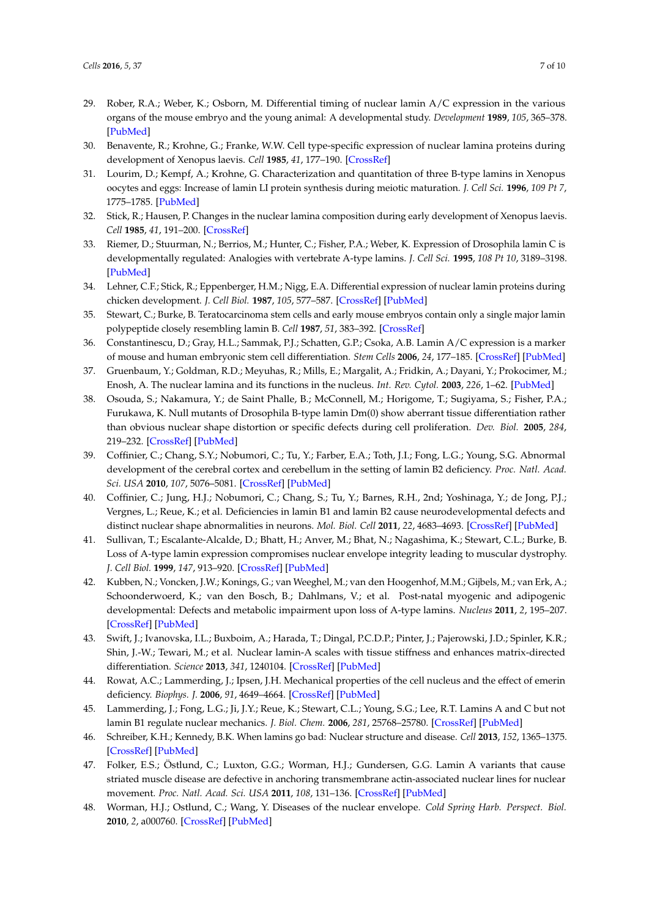- <span id="page-6-0"></span>29. Rober, R.A.; Weber, K.; Osborn, M. Differential timing of nuclear lamin A/C expression in the various organs of the mouse embryo and the young animal: A developmental study. *Development* **1989**, *105*, 365–378. [\[PubMed\]](http://www.ncbi.nlm.nih.gov/pubmed/2680424)
- <span id="page-6-1"></span>30. Benavente, R.; Krohne, G.; Franke, W.W. Cell type-specific expression of nuclear lamina proteins during development of Xenopus laevis. *Cell* **1985**, *41*, 177–190. [\[CrossRef\]](http://dx.doi.org/10.1016/0092-8674(85)90072-8)
- 31. Lourim, D.; Kempf, A.; Krohne, G. Characterization and quantitation of three B-type lamins in Xenopus oocytes and eggs: Increase of lamin LI protein synthesis during meiotic maturation. *J. Cell Sci.* **1996**, *109 Pt 7*, 1775–1785. [\[PubMed\]](http://www.ncbi.nlm.nih.gov/pubmed/8832400)
- <span id="page-6-2"></span>32. Stick, R.; Hausen, P. Changes in the nuclear lamina composition during early development of Xenopus laevis. *Cell* **1985**, *41*, 191–200. [\[CrossRef\]](http://dx.doi.org/10.1016/0092-8674(85)90073-X)
- <span id="page-6-3"></span>33. Riemer, D.; Stuurman, N.; Berrios, M.; Hunter, C.; Fisher, P.A.; Weber, K. Expression of Drosophila lamin C is developmentally regulated: Analogies with vertebrate A-type lamins. *J. Cell Sci.* **1995**, *108 Pt 10*, 3189–3198. [\[PubMed\]](http://www.ncbi.nlm.nih.gov/pubmed/7593280)
- <span id="page-6-4"></span>34. Lehner, C.F.; Stick, R.; Eppenberger, H.M.; Nigg, E.A. Differential expression of nuclear lamin proteins during chicken development. *J. Cell Biol.* **1987**, *105*, 577–587. [\[CrossRef\]](http://dx.doi.org/10.1083/jcb.105.1.577) [\[PubMed\]](http://www.ncbi.nlm.nih.gov/pubmed/3301871)
- <span id="page-6-5"></span>35. Stewart, C.; Burke, B. Teratocarcinoma stem cells and early mouse embryos contain only a single major lamin polypeptide closely resembling lamin B. *Cell* **1987**, *51*, 383–392. [\[CrossRef\]](http://dx.doi.org/10.1016/0092-8674(87)90634-9)
- <span id="page-6-6"></span>36. Constantinescu, D.; Gray, H.L.; Sammak, P.J.; Schatten, G.P.; Csoka, A.B. Lamin A/C expression is a marker of mouse and human embryonic stem cell differentiation. *Stem Cells* **2006**, *24*, 177–185. [\[CrossRef\]](http://dx.doi.org/10.1634/stemcells.2004-0159) [\[PubMed\]](http://www.ncbi.nlm.nih.gov/pubmed/16179429)
- <span id="page-6-7"></span>37. Gruenbaum, Y.; Goldman, R.D.; Meyuhas, R.; Mills, E.; Margalit, A.; Fridkin, A.; Dayani, Y.; Prokocimer, M.; Enosh, A. The nuclear lamina and its functions in the nucleus. *Int. Rev. Cytol.* **2003**, *226*, 1–62. [\[PubMed\]](http://www.ncbi.nlm.nih.gov/pubmed/12921235)
- <span id="page-6-8"></span>38. Osouda, S.; Nakamura, Y.; de Saint Phalle, B.; McConnell, M.; Horigome, T.; Sugiyama, S.; Fisher, P.A.; Furukawa, K. Null mutants of Drosophila B-type lamin Dm(0) show aberrant tissue differentiation rather than obvious nuclear shape distortion or specific defects during cell proliferation. *Dev. Biol.* **2005**, *284*, 219–232. [\[CrossRef\]](http://dx.doi.org/10.1016/j.ydbio.2005.05.022) [\[PubMed\]](http://www.ncbi.nlm.nih.gov/pubmed/15996653)
- <span id="page-6-9"></span>39. Coffinier, C.; Chang, S.Y.; Nobumori, C.; Tu, Y.; Farber, E.A.; Toth, J.I.; Fong, L.G.; Young, S.G. Abnormal development of the cerebral cortex and cerebellum in the setting of lamin B2 deficiency. *Proc. Natl. Acad. Sci. USA* **2010**, *107*, 5076–5081. [\[CrossRef\]](http://dx.doi.org/10.1073/pnas.0908790107) [\[PubMed\]](http://www.ncbi.nlm.nih.gov/pubmed/20145110)
- <span id="page-6-10"></span>40. Coffinier, C.; Jung, H.J.; Nobumori, C.; Chang, S.; Tu, Y.; Barnes, R.H., 2nd; Yoshinaga, Y.; de Jong, P.J.; Vergnes, L.; Reue, K.; et al. Deficiencies in lamin B1 and lamin B2 cause neurodevelopmental defects and distinct nuclear shape abnormalities in neurons. *Mol. Biol. Cell* **2011**, *22*, 4683–4693. [\[CrossRef\]](http://dx.doi.org/10.1091/mbc.E11-06-0504) [\[PubMed\]](http://www.ncbi.nlm.nih.gov/pubmed/21976703)
- <span id="page-6-11"></span>41. Sullivan, T.; Escalante-Alcalde, D.; Bhatt, H.; Anver, M.; Bhat, N.; Nagashima, K.; Stewart, C.L.; Burke, B. Loss of A-type lamin expression compromises nuclear envelope integrity leading to muscular dystrophy. *J. Cell Biol.* **1999**, *147*, 913–920. [\[CrossRef\]](http://dx.doi.org/10.1083/jcb.147.5.913) [\[PubMed\]](http://www.ncbi.nlm.nih.gov/pubmed/10579712)
- <span id="page-6-12"></span>42. Kubben, N.; Voncken, J.W.; Konings, G.; van Weeghel, M.; van den Hoogenhof, M.M.; Gijbels, M.; van Erk, A.; Schoonderwoerd, K.; van den Bosch, B.; Dahlmans, V.; et al. Post-natal myogenic and adipogenic developmental: Defects and metabolic impairment upon loss of A-type lamins. *Nucleus* **2011**, *2*, 195–207. [\[CrossRef\]](http://dx.doi.org/10.4161/nucl.2.3.15731) [\[PubMed\]](http://www.ncbi.nlm.nih.gov/pubmed/21818413)
- <span id="page-6-13"></span>43. Swift, J.; Ivanovska, I.L.; Buxboim, A.; Harada, T.; Dingal, P.C.D.P.; Pinter, J.; Pajerowski, J.D.; Spinler, K.R.; Shin, J.-W.; Tewari, M.; et al. Nuclear lamin-A scales with tissue stiffness and enhances matrix-directed differentiation. *Science* **2013**, *341*, 1240104. [\[CrossRef\]](http://dx.doi.org/10.1126/science.1240104) [\[PubMed\]](http://www.ncbi.nlm.nih.gov/pubmed/23990565)
- <span id="page-6-14"></span>44. Rowat, A.C.; Lammerding, J.; Ipsen, J.H. Mechanical properties of the cell nucleus and the effect of emerin deficiency. *Biophys. J.* **2006**, *91*, 4649–4664. [\[CrossRef\]](http://dx.doi.org/10.1529/biophysj.106.086454) [\[PubMed\]](http://www.ncbi.nlm.nih.gov/pubmed/16997877)
- <span id="page-6-15"></span>45. Lammerding, J.; Fong, L.G.; Ji, J.Y.; Reue, K.; Stewart, C.L.; Young, S.G.; Lee, R.T. Lamins A and C but not lamin B1 regulate nuclear mechanics. *J. Biol. Chem.* **2006**, *281*, 25768–25780. [\[CrossRef\]](http://dx.doi.org/10.1074/jbc.M513511200) [\[PubMed\]](http://www.ncbi.nlm.nih.gov/pubmed/16825190)
- <span id="page-6-16"></span>46. Schreiber, K.H.; Kennedy, B.K. When lamins go bad: Nuclear structure and disease. *Cell* **2013**, *152*, 1365–1375. [\[CrossRef\]](http://dx.doi.org/10.1016/j.cell.2013.02.015) [\[PubMed\]](http://www.ncbi.nlm.nih.gov/pubmed/23498943)
- <span id="page-6-17"></span>47. Folker, E.S.; Östlund, C.; Luxton, G.G.; Worman, H.J.; Gundersen, G.G. Lamin A variants that cause striated muscle disease are defective in anchoring transmembrane actin-associated nuclear lines for nuclear movement. *Proc. Natl. Acad. Sci. USA* **2011**, *108*, 131–136. [\[CrossRef\]](http://dx.doi.org/10.1073/pnas.1000824108) [\[PubMed\]](http://www.ncbi.nlm.nih.gov/pubmed/21818410)
- <span id="page-6-18"></span>48. Worman, H.J.; Ostlund, C.; Wang, Y. Diseases of the nuclear envelope. *Cold Spring Harb. Perspect. Biol.* **2010**, *2*, a000760. [\[CrossRef\]](http://dx.doi.org/10.1101/cshperspect.a000760) [\[PubMed\]](http://www.ncbi.nlm.nih.gov/pubmed/20182615)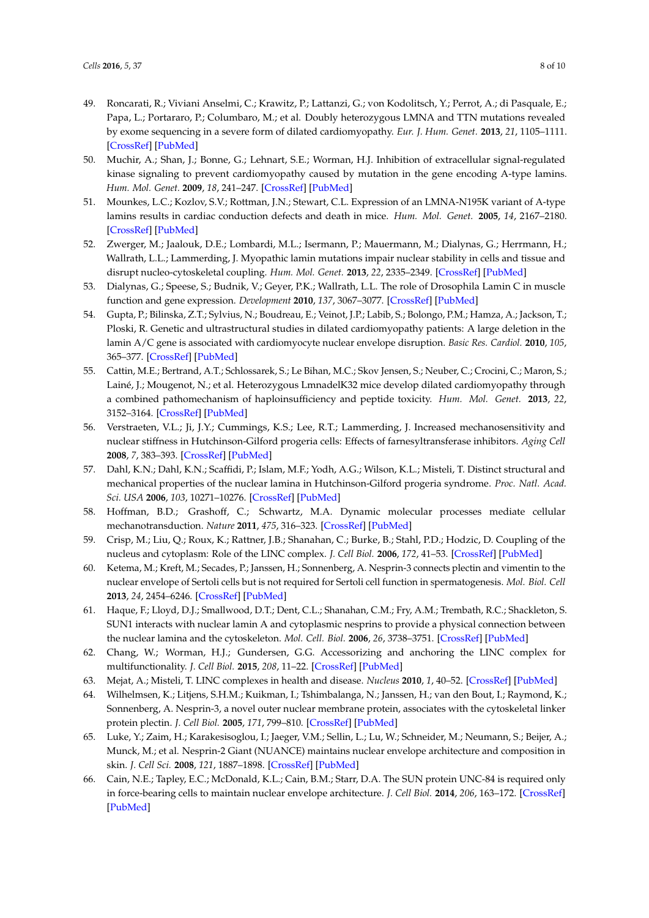- <span id="page-7-0"></span>49. Roncarati, R.; Viviani Anselmi, C.; Krawitz, P.; Lattanzi, G.; von Kodolitsch, Y.; Perrot, A.; di Pasquale, E.; Papa, L.; Portararo, P.; Columbaro, M.; et al. Doubly heterozygous LMNA and TTN mutations revealed by exome sequencing in a severe form of dilated cardiomyopathy. *Eur. J. Hum. Genet.* **2013**, *21*, 1105–1111. [\[CrossRef\]](http://dx.doi.org/10.1038/ejhg.2013.16) [\[PubMed\]](http://www.ncbi.nlm.nih.gov/pubmed/23463027)
- <span id="page-7-1"></span>50. Muchir, A.; Shan, J.; Bonne, G.; Lehnart, S.E.; Worman, H.J. Inhibition of extracellular signal-regulated kinase signaling to prevent cardiomyopathy caused by mutation in the gene encoding A-type lamins. *Hum. Mol. Genet.* **2009**, *18*, 241–247. [\[CrossRef\]](http://dx.doi.org/10.1093/hmg/ddn343) [\[PubMed\]](http://www.ncbi.nlm.nih.gov/pubmed/18927124)
- <span id="page-7-2"></span>51. Mounkes, L.C.; Kozlov, S.V.; Rottman, J.N.; Stewart, C.L. Expression of an LMNA-N195K variant of A-type lamins results in cardiac conduction defects and death in mice. *Hum. Mol. Genet.* **2005**, *14*, 2167–2180. [\[CrossRef\]](http://dx.doi.org/10.1093/hmg/ddi221) [\[PubMed\]](http://www.ncbi.nlm.nih.gov/pubmed/15972724)
- <span id="page-7-3"></span>52. Zwerger, M.; Jaalouk, D.E.; Lombardi, M.L.; Isermann, P.; Mauermann, M.; Dialynas, G.; Herrmann, H.; Wallrath, L.L.; Lammerding, J. Myopathic lamin mutations impair nuclear stability in cells and tissue and disrupt nucleo-cytoskeletal coupling. *Hum. Mol. Genet.* **2013**, *22*, 2335–2349. [\[CrossRef\]](http://dx.doi.org/10.1093/hmg/ddt079) [\[PubMed\]](http://www.ncbi.nlm.nih.gov/pubmed/23427149)
- <span id="page-7-4"></span>53. Dialynas, G.; Speese, S.; Budnik, V.; Geyer, P.K.; Wallrath, L.L. The role of Drosophila Lamin C in muscle function and gene expression. *Development* **2010**, *137*, 3067–3077. [\[CrossRef\]](http://dx.doi.org/10.1242/dev.048231) [\[PubMed\]](http://www.ncbi.nlm.nih.gov/pubmed/20702563)
- <span id="page-7-5"></span>54. Gupta, P.; Bilinska, Z.T.; Sylvius, N.; Boudreau, E.; Veinot, J.P.; Labib, S.; Bolongo, P.M.; Hamza, A.; Jackson, T.; Ploski, R. Genetic and ultrastructural studies in dilated cardiomyopathy patients: A large deletion in the lamin A/C gene is associated with cardiomyocyte nuclear envelope disruption. *Basic Res. Cardiol.* **2010**, *105*, 365–377. [\[CrossRef\]](http://dx.doi.org/10.1007/s00395-010-0085-4) [\[PubMed\]](http://www.ncbi.nlm.nih.gov/pubmed/20127487)
- <span id="page-7-6"></span>55. Cattin, M.E.; Bertrand, A.T.; Schlossarek, S.; Le Bihan, M.C.; Skov Jensen, S.; Neuber, C.; Crocini, C.; Maron, S.; Lainé, J.; Mougenot, N.; et al. Heterozygous LmnadelK32 mice develop dilated cardiomyopathy through a combined pathomechanism of haploinsufficiency and peptide toxicity. *Hum. Mol. Genet.* **2013**, *22*, 3152–3164. [\[CrossRef\]](http://dx.doi.org/10.1093/hmg/ddt172) [\[PubMed\]](http://www.ncbi.nlm.nih.gov/pubmed/23575224)
- <span id="page-7-7"></span>56. Verstraeten, V.L.; Ji, J.Y.; Cummings, K.S.; Lee, R.T.; Lammerding, J. Increased mechanosensitivity and nuclear stiffness in Hutchinson-Gilford progeria cells: Effects of farnesyltransferase inhibitors. *Aging Cell* **2008**, *7*, 383–393. [\[CrossRef\]](http://dx.doi.org/10.1111/j.1474-9726.2008.00382.x) [\[PubMed\]](http://www.ncbi.nlm.nih.gov/pubmed/18331619)
- <span id="page-7-8"></span>57. Dahl, K.N.; Dahl, K.N.; Scaffidi, P.; Islam, M.F.; Yodh, A.G.; Wilson, K.L.; Misteli, T. Distinct structural and mechanical properties of the nuclear lamina in Hutchinson-Gilford progeria syndrome. *Proc. Natl. Acad. Sci. USA* **2006**, *103*, 10271–10276. [\[CrossRef\]](http://dx.doi.org/10.1073/pnas.0601058103) [\[PubMed\]](http://www.ncbi.nlm.nih.gov/pubmed/16801550)
- <span id="page-7-9"></span>58. Hoffman, B.D.; Grashoff, C.; Schwartz, M.A. Dynamic molecular processes mediate cellular mechanotransduction. *Nature* **2011**, *475*, 316–323. [\[CrossRef\]](http://dx.doi.org/10.1038/nature10316) [\[PubMed\]](http://www.ncbi.nlm.nih.gov/pubmed/21776077)
- <span id="page-7-10"></span>59. Crisp, M.; Liu, Q.; Roux, K.; Rattner, J.B.; Shanahan, C.; Burke, B.; Stahl, P.D.; Hodzic, D. Coupling of the nucleus and cytoplasm: Role of the LINC complex. *J. Cell Biol.* **2006**, *172*, 41–53. [\[CrossRef\]](http://dx.doi.org/10.1083/jcb.200509124) [\[PubMed\]](http://www.ncbi.nlm.nih.gov/pubmed/16380439)
- <span id="page-7-11"></span>60. Ketema, M.; Kreft, M.; Secades, P.; Janssen, H.; Sonnenberg, A. Nesprin-3 connects plectin and vimentin to the nuclear envelope of Sertoli cells but is not required for Sertoli cell function in spermatogenesis. *Mol. Biol. Cell* **2013**, *24*, 2454–6246. [\[CrossRef\]](http://dx.doi.org/10.1091/mbc.E13-02-0100) [\[PubMed\]](http://www.ncbi.nlm.nih.gov/pubmed/23761073)
- <span id="page-7-12"></span>61. Haque, F.; Lloyd, D.J.; Smallwood, D.T.; Dent, C.L.; Shanahan, C.M.; Fry, A.M.; Trembath, R.C.; Shackleton, S. SUN1 interacts with nuclear lamin A and cytoplasmic nesprins to provide a physical connection between the nuclear lamina and the cytoskeleton. *Mol. Cell. Biol.* **2006**, *26*, 3738–3751. [\[CrossRef\]](http://dx.doi.org/10.1128/MCB.26.10.3738-3751.2006) [\[PubMed\]](http://www.ncbi.nlm.nih.gov/pubmed/16648470)
- <span id="page-7-13"></span>62. Chang, W.; Worman, H.J.; Gundersen, G.G. Accessorizing and anchoring the LINC complex for multifunctionality. *J. Cell Biol.* **2015**, *208*, 11–22. [\[CrossRef\]](http://dx.doi.org/10.1083/jcb.201409047) [\[PubMed\]](http://www.ncbi.nlm.nih.gov/pubmed/25559183)
- <span id="page-7-15"></span><span id="page-7-14"></span>63. Mejat, A.; Misteli, T. LINC complexes in health and disease. *Nucleus* **2010**, *1*, 40–52. [\[CrossRef\]](http://dx.doi.org/10.4161/nucl.1.1.10530) [\[PubMed\]](http://www.ncbi.nlm.nih.gov/pubmed/21327104)
- 64. Wilhelmsen, K.; Litjens, S.H.M.; Kuikman, I.; Tshimbalanga, N.; Janssen, H.; van den Bout, I.; Raymond, K.; Sonnenberg, A. Nesprin-3, a novel outer nuclear membrane protein, associates with the cytoskeletal linker protein plectin. *J. Cell Biol.* **2005**, *171*, 799–810. [\[CrossRef\]](http://dx.doi.org/10.1083/jcb.200506083) [\[PubMed\]](http://www.ncbi.nlm.nih.gov/pubmed/16330710)
- <span id="page-7-16"></span>65. Luke, Y.; Zaim, H.; Karakesisoglou, I.; Jaeger, V.M.; Sellin, L.; Lu, W.; Schneider, M.; Neumann, S.; Beijer, A.; Munck, M.; et al. Nesprin-2 Giant (NUANCE) maintains nuclear envelope architecture and composition in skin. *J. Cell Sci.* **2008**, *121*, 1887–1898. [\[CrossRef\]](http://dx.doi.org/10.1242/jcs.019075) [\[PubMed\]](http://www.ncbi.nlm.nih.gov/pubmed/18477613)
- <span id="page-7-17"></span>66. Cain, N.E.; Tapley, E.C.; McDonald, K.L.; Cain, B.M.; Starr, D.A. The SUN protein UNC-84 is required only in force-bearing cells to maintain nuclear envelope architecture. *J. Cell Biol.* **2014**, *206*, 163–172. [\[CrossRef\]](http://dx.doi.org/10.1083/jcb.201405081) [\[PubMed\]](http://www.ncbi.nlm.nih.gov/pubmed/25023515)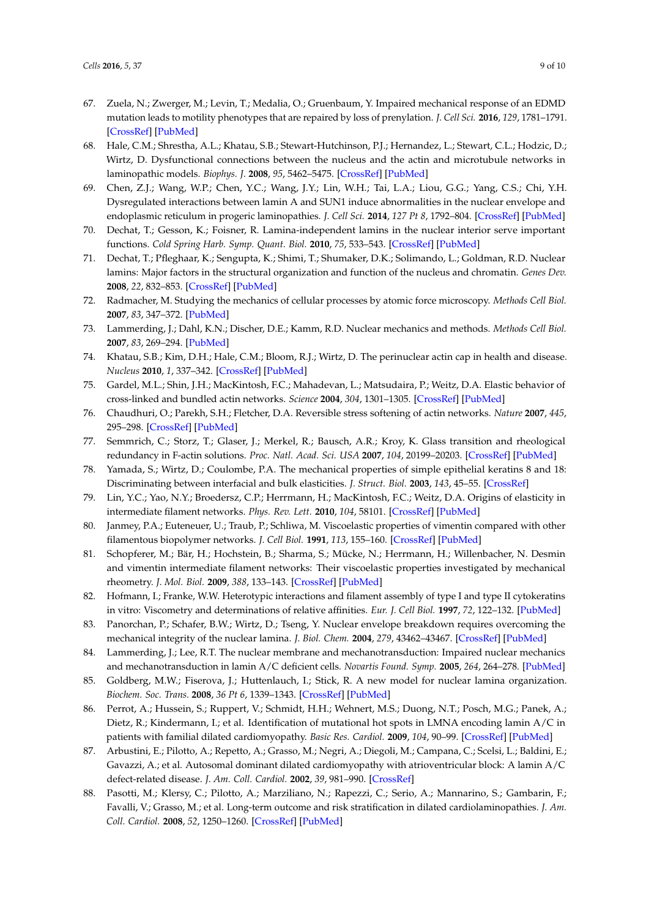- <span id="page-8-0"></span>67. Zuela, N.; Zwerger, M.; Levin, T.; Medalia, O.; Gruenbaum, Y. Impaired mechanical response of an EDMD mutation leads to motility phenotypes that are repaired by loss of prenylation. *J. Cell Sci.* **2016**, *129*, 1781–1791. [\[CrossRef\]](http://dx.doi.org/10.1242/jcs.184309) [\[PubMed\]](http://www.ncbi.nlm.nih.gov/pubmed/27034135)
- <span id="page-8-1"></span>68. Hale, C.M.; Shrestha, A.L.; Khatau, S.B.; Stewart-Hutchinson, P.J.; Hernandez, L.; Stewart, C.L.; Hodzic, D.; Wirtz, D. Dysfunctional connections between the nucleus and the actin and microtubule networks in laminopathic models. *Biophys. J.* **2008**, *95*, 5462–5475. [\[CrossRef\]](http://dx.doi.org/10.1529/biophysj.108.139428) [\[PubMed\]](http://www.ncbi.nlm.nih.gov/pubmed/18790843)
- <span id="page-8-2"></span>69. Chen, Z.J.; Wang, W.P.; Chen, Y.C.; Wang, J.Y.; Lin, W.H.; Tai, L.A.; Liou, G.G.; Yang, C.S.; Chi, Y.H. Dysregulated interactions between lamin A and SUN1 induce abnormalities in the nuclear envelope and endoplasmic reticulum in progeric laminopathies. *J. Cell Sci.* **2014**, *127 Pt 8*, 1792–804. [\[CrossRef\]](http://dx.doi.org/10.1242/jcs.139683) [\[PubMed\]](http://www.ncbi.nlm.nih.gov/pubmed/24522183)
- <span id="page-8-3"></span>70. Dechat, T.; Gesson, K.; Foisner, R. Lamina-independent lamins in the nuclear interior serve important functions. *Cold Spring Harb. Symp. Quant. Biol.* **2010**, *75*, 533–543. [\[CrossRef\]](http://dx.doi.org/10.1101/sqb.2010.75.018) [\[PubMed\]](http://www.ncbi.nlm.nih.gov/pubmed/21209392)
- <span id="page-8-4"></span>71. Dechat, T.; Pfleghaar, K.; Sengupta, K.; Shimi, T.; Shumaker, D.K.; Solimando, L.; Goldman, R.D. Nuclear lamins: Major factors in the structural organization and function of the nucleus and chromatin. *Genes Dev.* **2008**, *22*, 832–853. [\[CrossRef\]](http://dx.doi.org/10.1101/gad.1652708) [\[PubMed\]](http://www.ncbi.nlm.nih.gov/pubmed/18381888)
- <span id="page-8-5"></span>72. Radmacher, M. Studying the mechanics of cellular processes by atomic force microscopy. *Methods Cell Biol.* **2007**, *83*, 347–372. [\[PubMed\]](http://www.ncbi.nlm.nih.gov/pubmed/17613316)
- <span id="page-8-6"></span>73. Lammerding, J.; Dahl, K.N.; Discher, D.E.; Kamm, R.D. Nuclear mechanics and methods. *Methods Cell Biol.* **2007**, *83*, 269–294. [\[PubMed\]](http://www.ncbi.nlm.nih.gov/pubmed/17613312)
- <span id="page-8-7"></span>74. Khatau, S.B.; Kim, D.H.; Hale, C.M.; Bloom, R.J.; Wirtz, D. The perinuclear actin cap in health and disease. *Nucleus* **2010**, *1*, 337–342. [\[CrossRef\]](http://dx.doi.org/10.4161/nucl.1.4.12331) [\[PubMed\]](http://www.ncbi.nlm.nih.gov/pubmed/21327082)
- <span id="page-8-8"></span>75. Gardel, M.L.; Shin, J.H.; MacKintosh, F.C.; Mahadevan, L.; Matsudaira, P.; Weitz, D.A. Elastic behavior of cross-linked and bundled actin networks. *Science* **2004**, *304*, 1301–1305. [\[CrossRef\]](http://dx.doi.org/10.1126/science.1095087) [\[PubMed\]](http://www.ncbi.nlm.nih.gov/pubmed/15166374)
- 76. Chaudhuri, O.; Parekh, S.H.; Fletcher, D.A. Reversible stress softening of actin networks. *Nature* **2007**, *445*, 295–298. [\[CrossRef\]](http://dx.doi.org/10.1038/nature05459) [\[PubMed\]](http://www.ncbi.nlm.nih.gov/pubmed/17230186)
- <span id="page-8-9"></span>77. Semmrich, C.; Storz, T.; Glaser, J.; Merkel, R.; Bausch, A.R.; Kroy, K. Glass transition and rheological redundancy in F-actin solutions. *Proc. Natl. Acad. Sci. USA* **2007**, *104*, 20199–20203. [\[CrossRef\]](http://dx.doi.org/10.1073/pnas.0705513104) [\[PubMed\]](http://www.ncbi.nlm.nih.gov/pubmed/18077385)
- <span id="page-8-10"></span>78. Yamada, S.; Wirtz, D.; Coulombe, P.A. The mechanical properties of simple epithelial keratins 8 and 18: Discriminating between interfacial and bulk elasticities. *J. Struct. Biol.* **2003**, *143*, 45–55. [\[CrossRef\]](http://dx.doi.org/10.1016/S1047-8477(03)00101-1)
- 79. Lin, Y.C.; Yao, N.Y.; Broedersz, C.P.; Herrmann, H.; MacKintosh, F.C.; Weitz, D.A. Origins of elasticity in intermediate filament networks. *Phys. Rev. Lett.* **2010**, *104*, 58101. [\[CrossRef\]](http://dx.doi.org/10.1103/PhysRevLett.104.058101) [\[PubMed\]](http://www.ncbi.nlm.nih.gov/pubmed/20366795)
- 80. Janmey, P.A.; Euteneuer, U.; Traub, P.; Schliwa, M. Viscoelastic properties of vimentin compared with other filamentous biopolymer networks. *J. Cell Biol.* **1991**, *113*, 155–160. [\[CrossRef\]](http://dx.doi.org/10.1083/jcb.113.1.155) [\[PubMed\]](http://www.ncbi.nlm.nih.gov/pubmed/2007620)
- 81. Schopferer, M.; Bär, H.; Hochstein, B.; Sharma, S.; Mücke, N.; Herrmann, H.; Willenbacher, N. Desmin and vimentin intermediate filament networks: Their viscoelastic properties investigated by mechanical rheometry. *J. Mol. Biol.* **2009**, *388*, 133–143. [\[CrossRef\]](http://dx.doi.org/10.1016/j.jmb.2009.03.005) [\[PubMed\]](http://www.ncbi.nlm.nih.gov/pubmed/19281820)
- <span id="page-8-11"></span>82. Hofmann, I.; Franke, W.W. Heterotypic interactions and filament assembly of type I and type II cytokeratins in vitro: Viscometry and determinations of relative affinities. *Eur. J. Cell Biol.* **1997**, *72*, 122–132. [\[PubMed\]](http://www.ncbi.nlm.nih.gov/pubmed/9157008)
- <span id="page-8-12"></span>83. Panorchan, P.; Schafer, B.W.; Wirtz, D.; Tseng, Y. Nuclear envelope breakdown requires overcoming the mechanical integrity of the nuclear lamina. *J. Biol. Chem.* **2004**, *279*, 43462–43467. [\[CrossRef\]](http://dx.doi.org/10.1074/jbc.M402474200) [\[PubMed\]](http://www.ncbi.nlm.nih.gov/pubmed/15292200)
- <span id="page-8-13"></span>84. Lammerding, J.; Lee, R.T. The nuclear membrane and mechanotransduction: Impaired nuclear mechanics and mechanotransduction in lamin A/C deficient cells. *Novartis Found. Symp.* **2005**, *264*, 264–278. [\[PubMed\]](http://www.ncbi.nlm.nih.gov/pubmed/15773759)
- <span id="page-8-14"></span>85. Goldberg, M.W.; Fiserova, J.; Huttenlauch, I.; Stick, R. A new model for nuclear lamina organization. *Biochem. Soc. Trans.* **2008**, *36 Pt 6*, 1339–1343. [\[CrossRef\]](http://dx.doi.org/10.1042/BST0361339) [\[PubMed\]](http://www.ncbi.nlm.nih.gov/pubmed/19021552)
- <span id="page-8-15"></span>86. Perrot, A.; Hussein, S.; Ruppert, V.; Schmidt, H.H.; Wehnert, M.S.; Duong, N.T.; Posch, M.G.; Panek, A.; Dietz, R.; Kindermann, I.; et al. Identification of mutational hot spots in LMNA encoding lamin A/C in patients with familial dilated cardiomyopathy. *Basic Res. Cardiol.* **2009**, *104*, 90–99. [\[CrossRef\]](http://dx.doi.org/10.1007/s00395-008-0748-6) [\[PubMed\]](http://www.ncbi.nlm.nih.gov/pubmed/18795223)
- 87. Arbustini, E.; Pilotto, A.; Repetto, A.; Grasso, M.; Negri, A.; Diegoli, M.; Campana, C.; Scelsi, L.; Baldini, E.; Gavazzi, A.; et al. Autosomal dominant dilated cardiomyopathy with atrioventricular block: A lamin A/C defect-related disease. *J. Am. Coll. Cardiol.* **2002**, *39*, 981–990. [\[CrossRef\]](http://dx.doi.org/10.1016/S0735-1097(02)01724-2)
- <span id="page-8-16"></span>88. Pasotti, M.; Klersy, C.; Pilotto, A.; Marziliano, N.; Rapezzi, C.; Serio, A.; Mannarino, S.; Gambarin, F.; Favalli, V.; Grasso, M.; et al. Long-term outcome and risk stratification in dilated cardiolaminopathies. *J. Am. Coll. Cardiol.* **2008**, *52*, 1250–1260. [\[CrossRef\]](http://dx.doi.org/10.1016/j.jacc.2008.06.044) [\[PubMed\]](http://www.ncbi.nlm.nih.gov/pubmed/18926329)